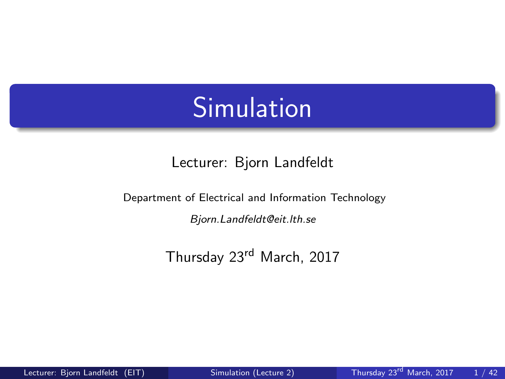## <span id="page-0-0"></span>**Simulation**

#### Lecturer: Bjorn Landfeldt

Department of Electrical and Information Technology Bjorn.Landfeldt@eit.lth.se

Thursday 23rd March, 2017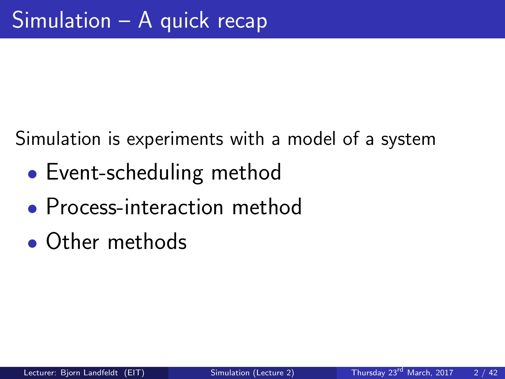Simulation is experiments with a model of a system

- Event-scheduling method
- Process-interaction method
- Other methods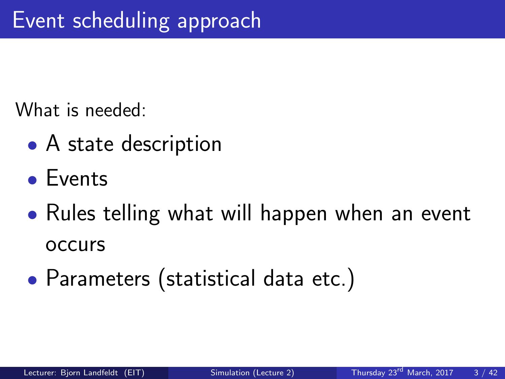What is needed:

- A state description
- Events
- Rules telling what will happen when an event occurs
- Parameters (statistical data etc.)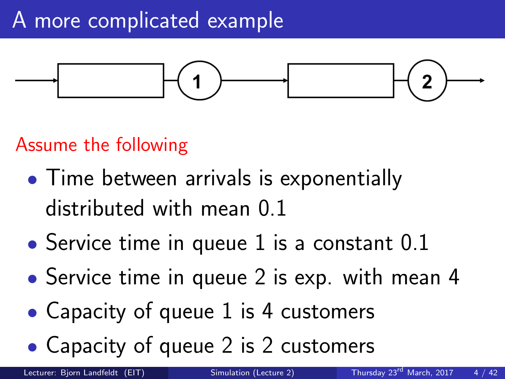

### Assume the following

- Time between arrivals is exponentially distributed with mean 0.1
- Service time in queue 1 is a constant  $0.1$
- Service time in queue 2 is exp. with mean 4
- Capacity of queue 1 is 4 customers
- Capacity of queue 2 is 2 customers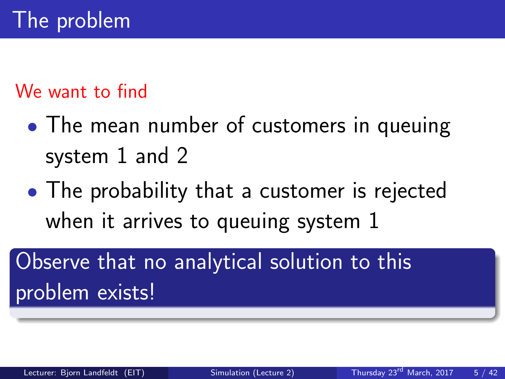### We want to find

- The mean number of customers in queuing system 1 and 2
- The probability that a customer is rejected when it arrives to queuing system 1

Observe that no analytical solution to this problem exists!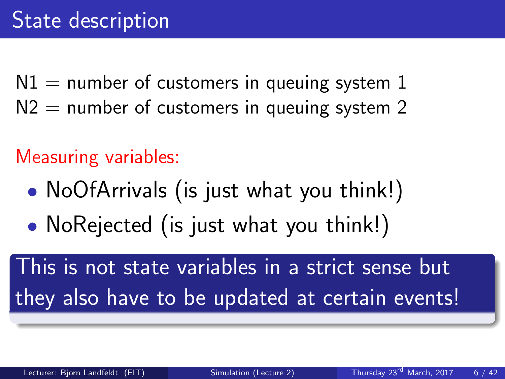$N1 =$  number of customers in queuing system 1  $N2$  = number of customers in queuing system 2

Measuring variables:

- NoOfArrivals (is just what you think!)
- NoRejected (is just what you think!)

This is not state variables in a strict sense but they also have to be updated at certain events!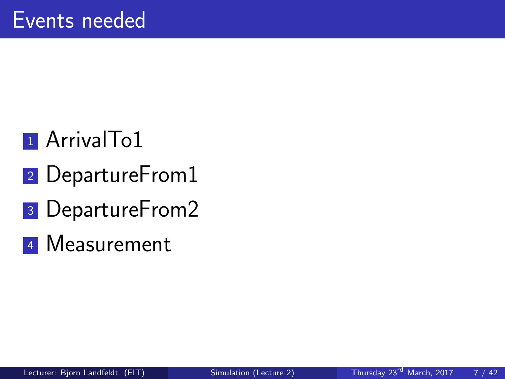## <sup>1</sup> ArrivalTo1

- 2 DepartureFrom1
- <sup>3</sup> DepartureFrom2
- <sup>4</sup> Measurement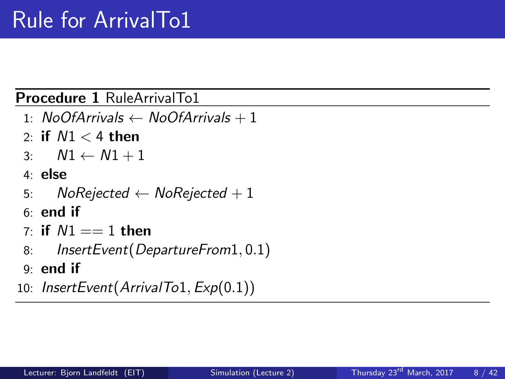#### Procedure 1 RuleArrivalTo1

- 1: NoOfArrivals  $\leftarrow$  NoOfArrivals + 1
- 2: if  $N1 < 4$  then
- 3:  $N1 \leftarrow N1 + 1$
- 4: else
- 5: NoRejected  $\leftarrow$  NoRejected + 1
- 6: end if
- 7: if  $N1 == 1$  then
- 8: InsertEvent(DepartureFrom1, 0.1)
- 9: end if
- 10: InsertEvent(ArrivalTo1,  $Exp(0.1)$ )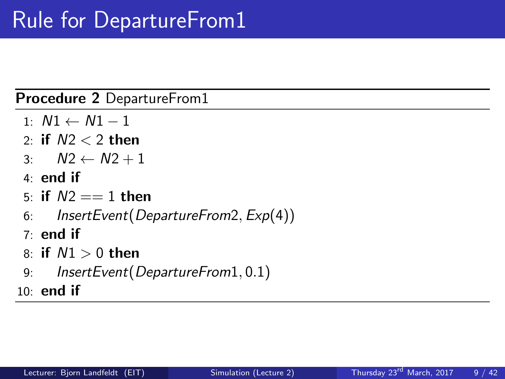Procedure 2 DepartureFrom1

- 1:  $N1$  ←  $N1 1$
- 2: if  $N2 < 2$  then
- 3:  $N2 \leftarrow N2 + 1$
- 4: end if
- 5: if  $N2 == 1$  then
- 6: InsertEvent(DepartureFrom2, Exp(4))
- $7:$  end if
- 8: if  $N1 > 0$  then
- 9: InsertEvent(DepartureFrom1, 0.1)

 $10:$  end if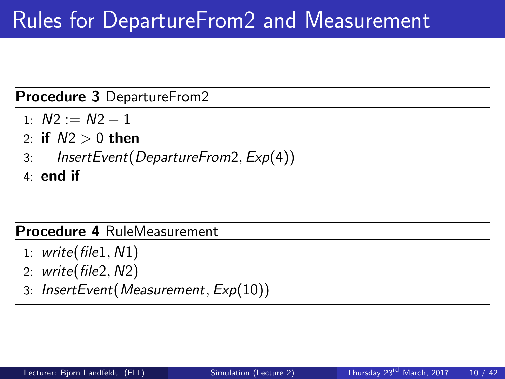### Rules for DepartureFrom2 and Measurement

Procedure 3 DepartureFrom2

- $1: N2 := N2 1$
- 2: if  $N2 > 0$  then
- 3: InsertEvent(DepartureFrom2, Exp(4))
- 4: end if

#### Procedure 4 RuleMeasurement

- 1: write( $file1, N1)$
- 2: write( $file2, N2$ )
- 3: InsertEvent(Measurement, Exp(10))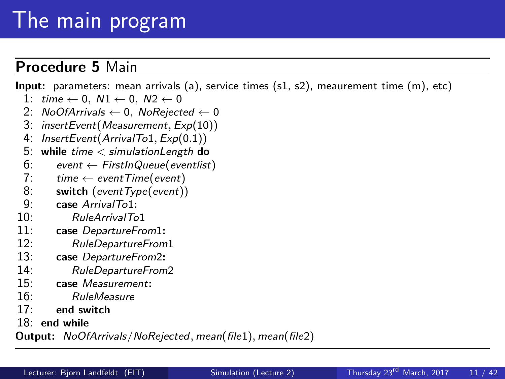## The main program

#### Procedure 5 Main

Input: parameters: mean arrivals (a), service times (s1, s2), meaurement time (m), etc)

- 1: time  $\leftarrow$  0,  $N1 \leftarrow$  0,  $N2 \leftarrow$  0
- 2:  $NoOfArrivals \leftarrow 0$ ,  $NoRejected \leftarrow 0$ <br>3: insertEvent(Measurement, Exp(10))
- $insertEvent(Measurement, Exp(10))$
- 4: InsertEvent(ArrivalTo1, Exp(0.1))
- 5: while time  $\lt$  simulation Length do<br>6: event  $\lt$  First In Queue (event list
- 6: event ← FirstInQueue(eventlist)<br>7: time ← eventTime(event)
- 7:  $time \leftarrow eventTime(event)$ <br>8: **switch** (eventType(event))
- 8: **switch** (eventType(event))<br>9: **case** ArrivalTo1:
- 9: **case** ArrivalTo1:<br>10: RuleArrivalTo
- 10: RuleArrivalTo1<br>11: case DepartureFro
- 11: **case** DepartureFrom1:<br>12: RuleDepartureFrom
- 12: RuleDepartureFrom1<br>13: case DepartureFrom2:
- 13: **case** DepartureFrom2:<br>14: RuleDepartureFrom
- 14: RuleDepartureFrom2<br>15: case Measurement:
- case Measurement:
- 16: RuleMeasure
- 17: end switch
- 18: end while

Output: NoOfArrivals/NoRejected, mean(file1), mean(file2)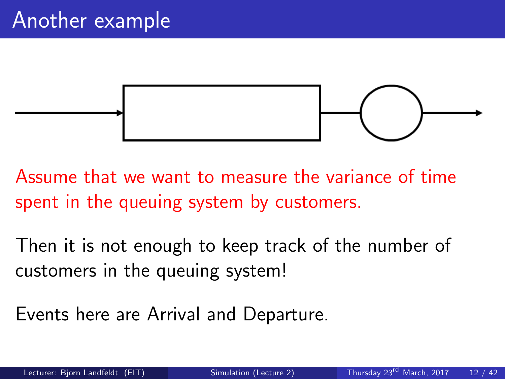

Assume that we want to measure the variance of time spent in the queuing system by customers.

Then it is not enough to keep track of the number of customers in the queuing system!

Events here are Arrival and Departure.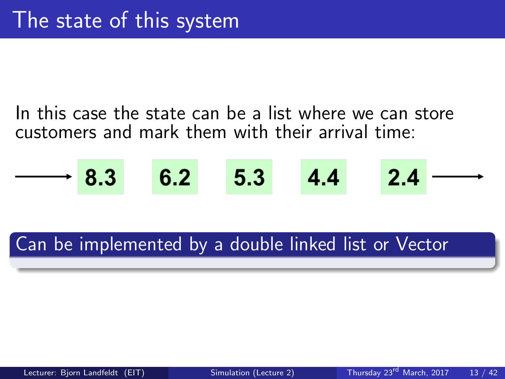In this case the state can be a list where we can store customers and mark them with their arrival time:

$$
\longrightarrow 8.3 \qquad 6.2 \qquad 5.3 \qquad 4.4 \qquad 2.4 \longrightarrow
$$

### Can be implemented by a double linked list or Vector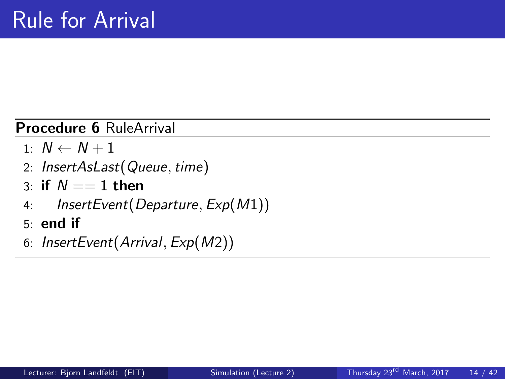#### Procedure 6 RuleArrival

- 1:  $N \leftarrow N + 1$
- 2: InsertAsLast(Queue, time)
- 3: if  $N \equiv 1$  then
- 4: InsertEvent(Departure, Exp(M1))
- 5: end if
- 6: InsertEvent(Arrival, Exp(M2))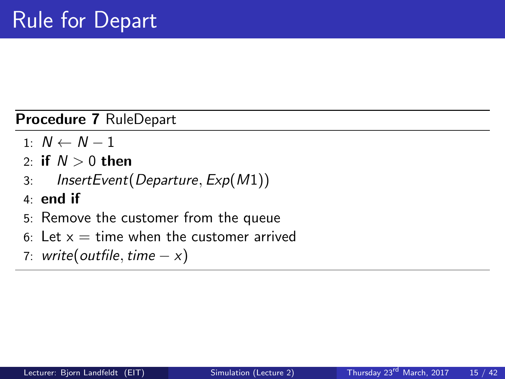Procedure 7 RuleDepart

- 1:  $N \leftarrow N 1$
- 2: if  $N > 0$  then
- 3: InsertEvent(Departure, Exp(M1))
- 4: end if
- 5: Remove the customer from the queue
- 6: Let  $x =$  time when the customer arrived
- 7: write(outfile, time  $-x$ )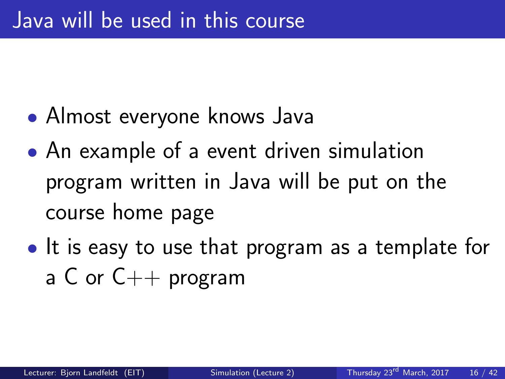- Almost everyone knows Java
- An example of a event driven simulation program written in Java will be put on the course home page
- It is easy to use that program as a template for a C or  $C_{++}$  program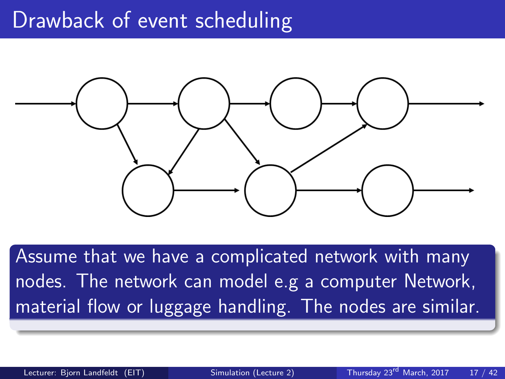### Drawback of event scheduling



Assume that we have a complicated network with many nodes. The network can model e.g a computer Network, material flow or luggage handling. The nodes are similar.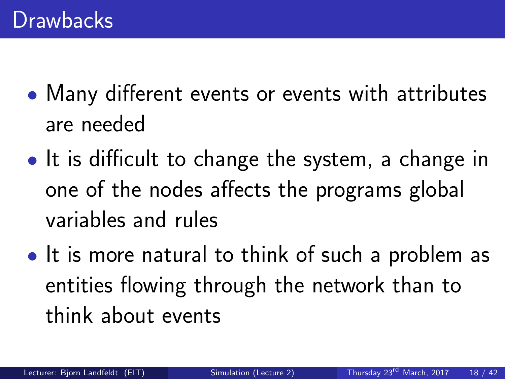- Many different events or events with attributes are needed
- It is difficult to change the system, a change in one of the nodes affects the programs global variables and rules
- It is more natural to think of such a problem as entities flowing through the network than to think about events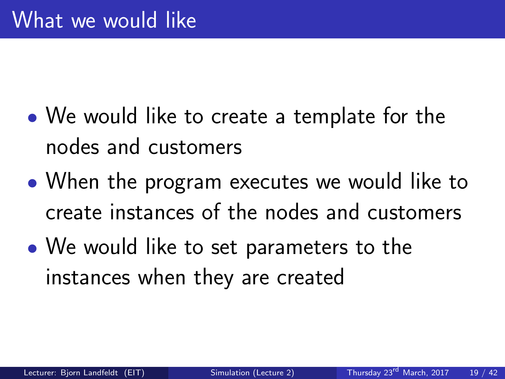- We would like to create a template for the nodes and customers
- When the program executes we would like to create instances of the nodes and customers
- We would like to set parameters to the instances when they are created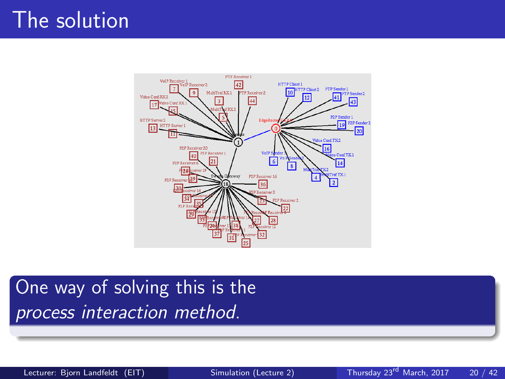## The solution



### One way of solving this is the process interaction method.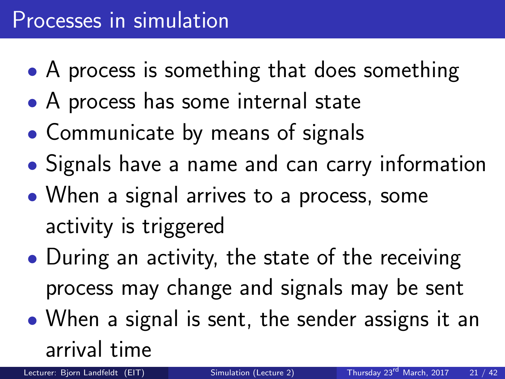- A process is something that does something
- A process has some internal state
- Communicate by means of signals
- Signals have a name and can carry information
- When a signal arrives to a process, some activity is triggered
- During an activity, the state of the receiving process may change and signals may be sent
- When a signal is sent, the sender assigns it an arrival time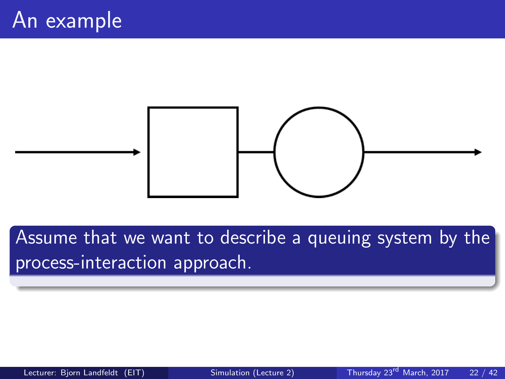

Assume that we want to describe a queuing system by the process-interaction approach.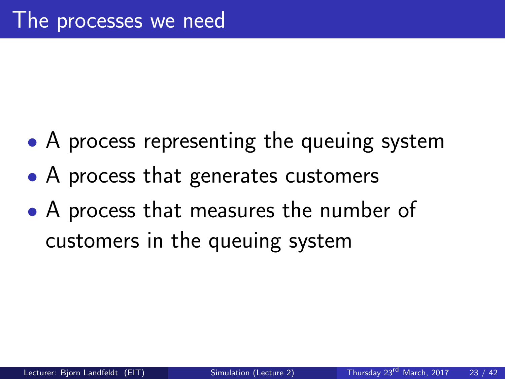- A process representing the queuing system
- A process that generates customers
- A process that measures the number of customers in the queuing system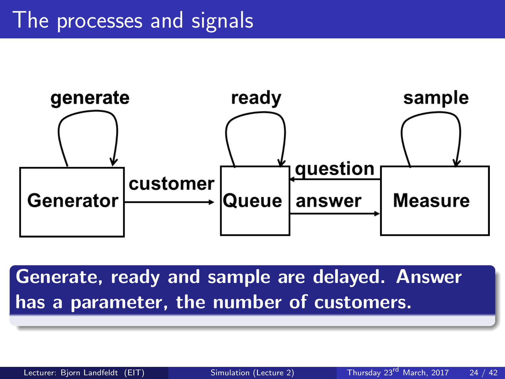

Generate, ready and sample are delayed. Answer has a parameter, the number of customers.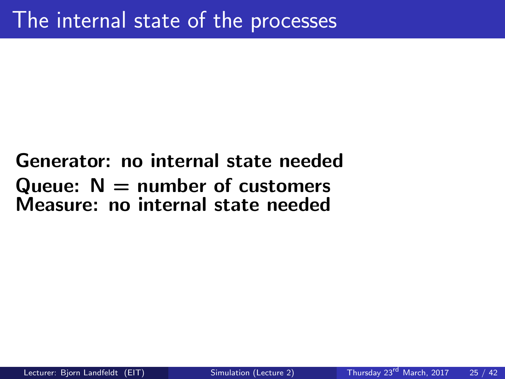### Generator: no internal state needed Queue:  $N =$  number of customers Measure: no internal state needed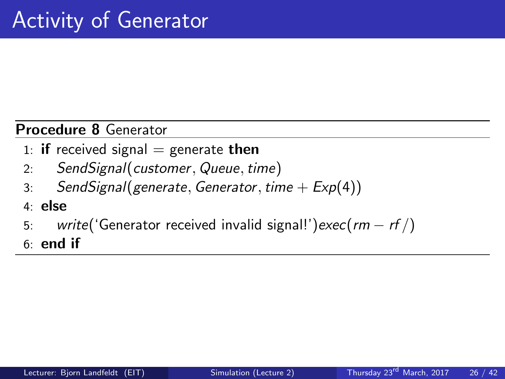#### Procedure 8 Generator

- 1: **if** received signal  $=$  generate **then**
- 2: SendSignal(customer, Queue, time)
- 3: SendSignal(generate, Generator, time  $+ E \times p(4)$ )
- 4: else
- 5: write('Generator received invalid signal!')exec(rm rf /)
- $6:$  end if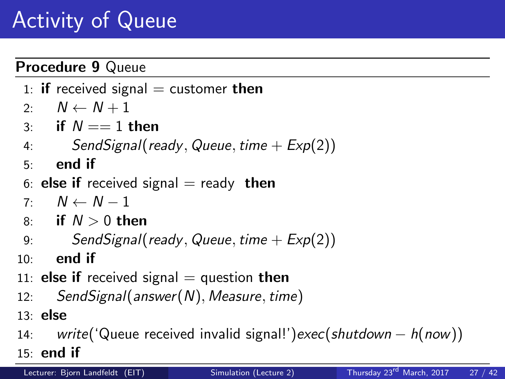## Activity of Queue

#### Procedure 9 Queue

- 1: **if** received signal  $=$  customer **then**
- 2:  $N \leftarrow N + 1$
- 3: if  $N == 1$  then
- 4: SendSignal(ready, Queue, time  $+ E \times p(2)$ )
- $5:$  end if
- 6: **else if** received signal  $=$  ready **then**
- $7: N \leftarrow N 1$
- 8: if  $N > 0$  then
- 9: SendSignal(ready, Queue, time  $+ E \times p(2)$ )
- $10:$  end if
- 11: **else if** received signal  $=$  question then
- 12: SendSignal(answer(N), Measure, time)
- 13: else
- 14: write('Queue received invalid signal!')exec(shutdown h(now))
- 15: end if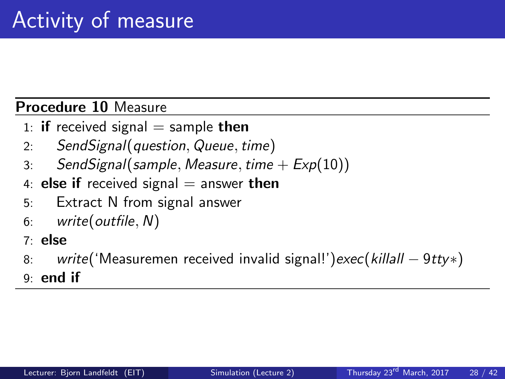#### Procedure 10 Measure

- 1: **if** received signal  $=$  sample **then**
- 2: SendSignal(question, Queue, time)
- 3: Send Signal (sample, Measure, time  $+ E \times p(10)$ )
- 4: else if received signal  $=$  answer then
- 5: Extract N from signal answer
- 6: write(outfile, N)
- 7: else
- 8: write('Measuremen received invalid signal!')exec(killall 9tty\*)
- 9: end if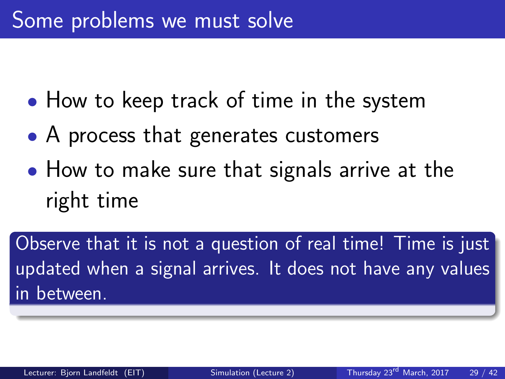- How to keep track of time in the system
- A process that generates customers
- How to make sure that signals arrive at the right time

Observe that it is not a question of real time! Time is just updated when a signal arrives. It does not have any values in between.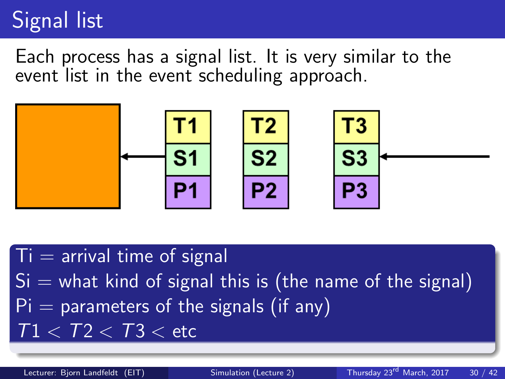## Signal list

Each process has a signal list. It is very similar to the event list in the event scheduling approach.



 $T_i$  = arrival time of signal  $Si =$  what kind of signal this is (the name of the signal)  $Pi =$  parameters of the signals (if any)  $T1 < T2 < T3 < \text{etc}$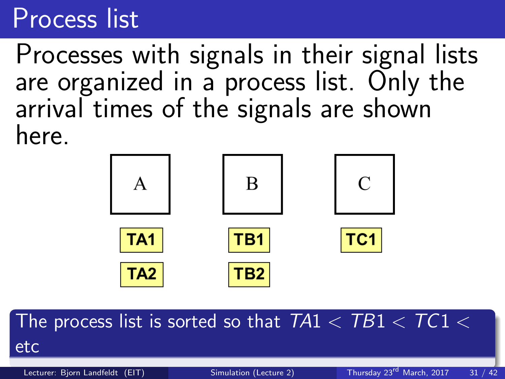# Process list

Processes with signals in their signal lists are organized in a process list. Only the arrival times of the signals are shown here.



The process list is sorted so that  $TA1 < TB1 < TC1 <$ etc

Lecturer: Bjorn Landfeldt (EIT) [Simulation \(Lecture 2\)](#page-0-0) Thursday 23<sup>rd</sup> March, 2017 31 / 42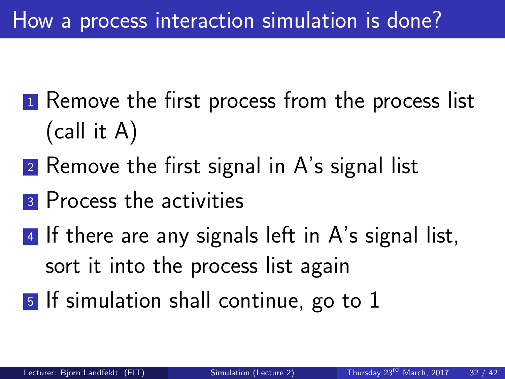## How a process interaction simulation is done?

- <sup>1</sup> Remove the first process from the process list (call it A)
- 2 Remove the first signal in A's signal list
- **3** Process the activities
- 4 If there are any signals left in A's signal list, sort it into the process list again
- <sup>5</sup> If simulation shall continue, go to 1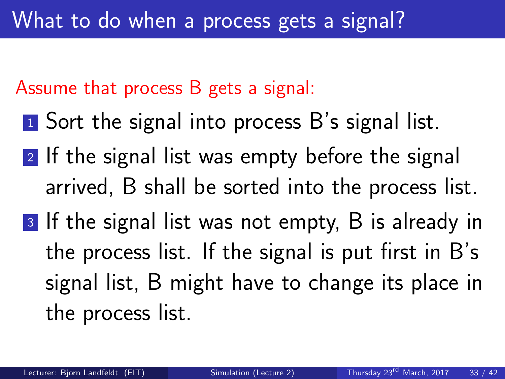Assume that process B gets a signal:

- **1** Sort the signal into process B's signal list.
- 2 If the signal list was empty before the signal arrived, B shall be sorted into the process list.
- 3 If the signal list was not empty, B is already in the process list. If the signal is put first in B's signal list, B might have to change its place in the process list.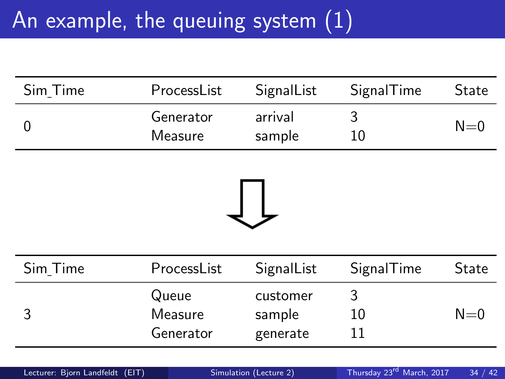# An example, the queuing system (1)

| Sim Time | ProcessList          | SignalList        | SignalTime | <b>State</b> |
|----------|----------------------|-------------------|------------|--------------|
|          | Generator<br>Measure | arrival<br>sample | 10         | $N=0$        |



| Sim Time | ProcessList                   | SignalList                     | SignalTime | State   |
|----------|-------------------------------|--------------------------------|------------|---------|
|          | Queue<br>Measure<br>Generator | customer<br>sample<br>generate | 10         | $N = 0$ |
|          |                               |                                |            |         |

| Lecturer: Bjorn Landfeldt (EIT) | Simulation (Lecture 2) | Thursday $23^{\text{rd}}$ March, $2017$ 34 / 42 |  |
|---------------------------------|------------------------|-------------------------------------------------|--|
|                                 |                        |                                                 |  |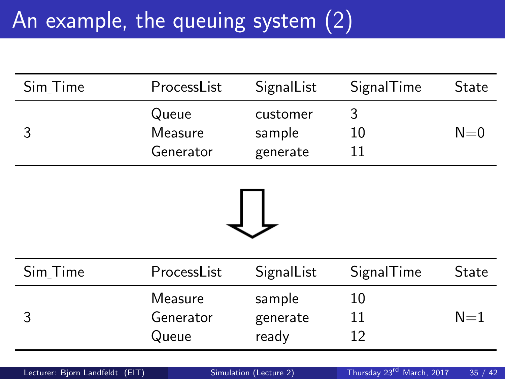# An example, the queuing system (2)

| Sim Time | ProcessList                   | SignalList                     | SignalTime | State   |
|----------|-------------------------------|--------------------------------|------------|---------|
|          | Queue<br>Measure<br>Generator | customer<br>sample<br>generate | 10         | $N = 0$ |



| Sim_Time | ProcessList                   | SignalList                  | SignalTime | State |
|----------|-------------------------------|-----------------------------|------------|-------|
|          | Measure<br>Generator<br>Queue | sample<br>generate<br>ready | 10<br>12   | $N=1$ |
|          |                               |                             |            |       |

| Lecturer: Bjorn Landfeldt (EIT) | Simulation (Lecture 2) | Thursday 23rd March, 2017 | 35/42 |
|---------------------------------|------------------------|---------------------------|-------|
|---------------------------------|------------------------|---------------------------|-------|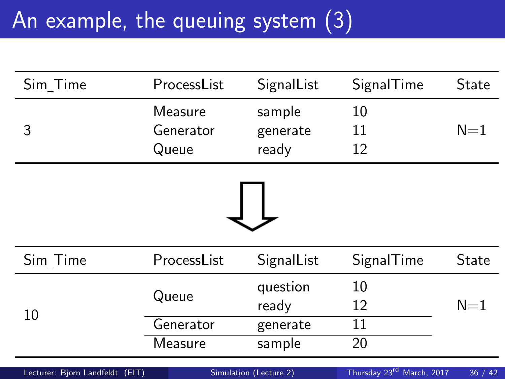# An example, the queuing system (3)

| Sim Time                        | ProcessList        | SignalList             | SignalTime                            | State   |
|---------------------------------|--------------------|------------------------|---------------------------------------|---------|
| 3                               | Measure            | sample                 | 10                                    | $N=1$   |
|                                 | Generator<br>Queue | generate<br>ready      | 11<br>12                              |         |
|                                 |                    |                        |                                       |         |
| Sim_Time                        | ProcessList        | SignalList             | SignalTime                            | State   |
| 10                              | Queue              | question               | 10                                    |         |
|                                 |                    | ready                  | 12                                    | $N=1$   |
|                                 | Generator          | generate               | 11                                    |         |
|                                 | Measure            | sample                 | 20                                    |         |
| Lecturer: Bjorn Landfeldt (EIT) |                    | Simulation (Lecture 2) | Thursday 23 <sup>rd</sup> March, 2017 | 36 / 42 |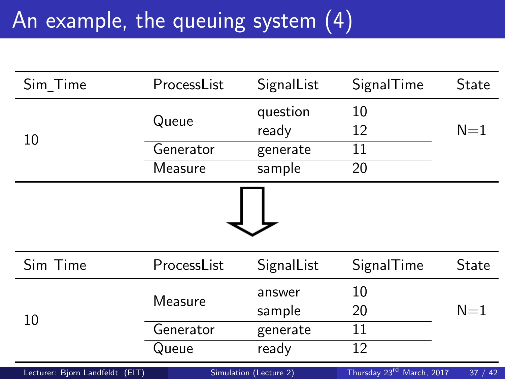# An example, the queuing system (4)

| Sim_Time                        | ProcessList | SignalList             | SignalTime                            | State   |
|---------------------------------|-------------|------------------------|---------------------------------------|---------|
|                                 | Queue       | question               | 10                                    |         |
| 10                              |             | ready                  | 12                                    | $N=1$   |
|                                 | Generator   | generate               | 11                                    |         |
|                                 | Measure     | sample                 | 20                                    |         |
|                                 |             |                        |                                       |         |
|                                 |             |                        |                                       |         |
| Sim Time                        | ProcessList | SignalList             | SignalTime                            | State   |
|                                 | Measure     | answer                 | 10                                    |         |
| 10                              |             | sample                 | 20                                    | $N=1$   |
|                                 | Generator   | generate               | 11                                    |         |
|                                 | Queue       | ready                  | 12                                    |         |
| Lecturer: Bjorn Landfeldt (EIT) |             | Simulation (Lecture 2) | Thursday 23 <sup>rd</sup> March, 2017 | 37 / 42 |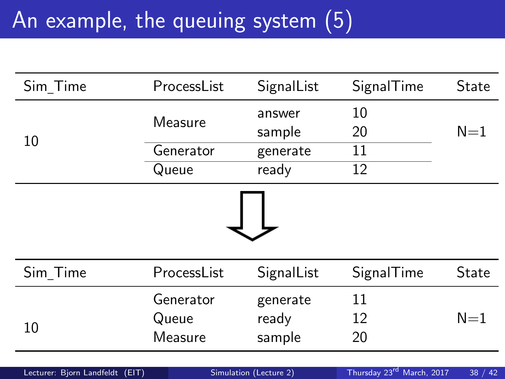# An example, the queuing system (5)

| Sim Time                        | ProcessList | SignalList             | SignalTime                            | State   |
|---------------------------------|-------------|------------------------|---------------------------------------|---------|
|                                 | Measure     | answer                 | 10                                    |         |
| 10                              |             | sample                 | 20                                    | $N=1$   |
|                                 | Generator   | generate               | 11                                    |         |
|                                 | Queue       | ready                  | 12                                    |         |
|                                 |             |                        |                                       |         |
| Sim Time                        | ProcessList | SignalList             | SignalTime                            | State   |
|                                 | Generator   | generate               | 11                                    |         |
|                                 | Queue       | ready                  | 12                                    | $N=1$   |
| 10                              | Measure     | sample                 | 20                                    |         |
| Lecturer: Bjorn Landfeldt (EIT) |             | Simulation (Lecture 2) | Thursday 23 <sup>rd</sup> March, 2017 | 38 / 42 |
|                                 |             |                        |                                       |         |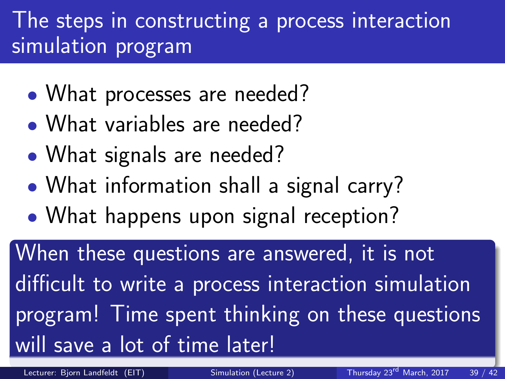### The steps in constructing a process interaction simulation program

- What processes are needed?
- What variables are needed?
- What signals are needed?
- What information shall a signal carry?
- What happens upon signal reception?

When these questions are answered, it is not difficult to write a process interaction simulation program! Time spent thinking on these questions will save a lot of time later!

Lecturer: Bjorn Landfeldt (EIT) [Simulation \(Lecture 2\)](#page-0-0) Thursday 23<sup>rd</sup> March, 2017 39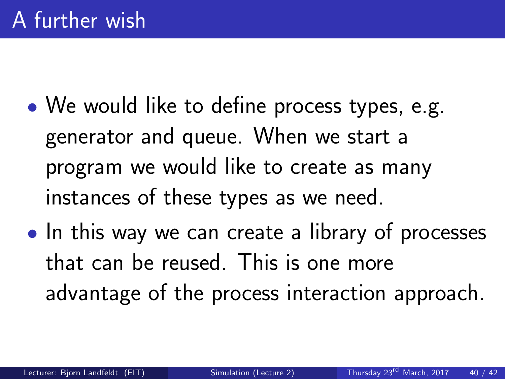- We would like to define process types, e.g. generator and queue. When we start a program we would like to create as many instances of these types as we need.
- In this way we can create a library of processes that can be reused. This is one more advantage of the process interaction approach.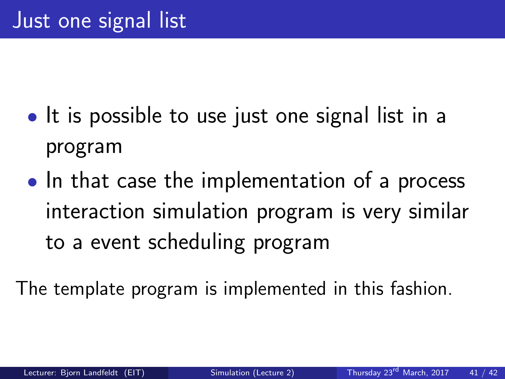- It is possible to use just one signal list in a program
- In that case the implementation of a process interaction simulation program is very similar to a event scheduling program

The template program is implemented in this fashion.